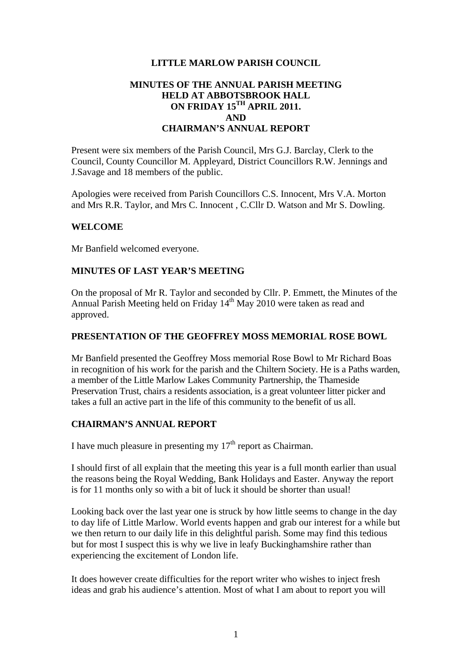# **LITTLE MARLOW PARISH COUNCIL**

# **MINUTES OF THE ANNUAL PARISH MEETING HELD AT ABBOTSBROOK HALL ON FRIDAY 15TH APRIL 2011. AND CHAIRMAN'S ANNUAL REPORT**

Present were six members of the Parish Council, Mrs G.J. Barclay, Clerk to the Council, County Councillor M. Appleyard, District Councillors R.W. Jennings and J.Savage and 18 members of the public.

Apologies were received from Parish Councillors C.S. Innocent, Mrs V.A. Morton and Mrs R.R. Taylor, and Mrs C. Innocent , C.Cllr D. Watson and Mr S. Dowling.

# **WELCOME**

Mr Banfield welcomed everyone.

# **MINUTES OF LAST YEAR'S MEETING**

On the proposal of Mr R. Taylor and seconded by Cllr. P. Emmett, the Minutes of the Annual Parish Meeting held on Friday 14<sup>th</sup> May 2010 were taken as read and approved.

# **PRESENTATION OF THE GEOFFREY MOSS MEMORIAL ROSE BOWL**

Mr Banfield presented the Geoffrey Moss memorial Rose Bowl to Mr Richard Boas in recognition of his work for the parish and the Chiltern Society. He is a Paths warden, a member of the Little Marlow Lakes Community Partnership, the Thameside Preservation Trust, chairs a residents association, is a great volunteer litter picker and takes a full an active part in the life of this community to the benefit of us all.

# **CHAIRMAN'S ANNUAL REPORT**

I have much pleasure in presenting my  $17<sup>th</sup>$  report as Chairman.

I should first of all explain that the meeting this year is a full month earlier than usual the reasons being the Royal Wedding, Bank Holidays and Easter. Anyway the report is for 11 months only so with a bit of luck it should be shorter than usual!

Looking back over the last year one is struck by how little seems to change in the day to day life of Little Marlow. World events happen and grab our interest for a while but we then return to our daily life in this delightful parish. Some may find this tedious but for most I suspect this is why we live in leafy Buckinghamshire rather than experiencing the excitement of London life.

It does however create difficulties for the report writer who wishes to inject fresh ideas and grab his audience's attention. Most of what I am about to report you will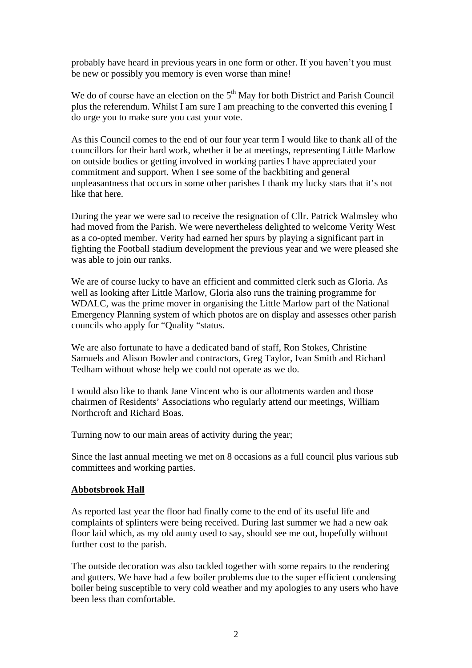probably have heard in previous years in one form or other. If you haven't you must be new or possibly you memory is even worse than mine!

We do of course have an election on the  $5<sup>th</sup>$  May for both District and Parish Council plus the referendum. Whilst I am sure I am preaching to the converted this evening I do urge you to make sure you cast your vote.

As this Council comes to the end of our four year term I would like to thank all of the councillors for their hard work, whether it be at meetings, representing Little Marlow on outside bodies or getting involved in working parties I have appreciated your commitment and support. When I see some of the backbiting and general unpleasantness that occurs in some other parishes I thank my lucky stars that it's not like that here.

During the year we were sad to receive the resignation of Cllr. Patrick Walmsley who had moved from the Parish. We were nevertheless delighted to welcome Verity West as a co-opted member. Verity had earned her spurs by playing a significant part in fighting the Football stadium development the previous year and we were pleased she was able to join our ranks.

We are of course lucky to have an efficient and committed clerk such as Gloria. As well as looking after Little Marlow, Gloria also runs the training programme for WDALC, was the prime mover in organising the Little Marlow part of the National Emergency Planning system of which photos are on display and assesses other parish councils who apply for "Quality "status.

We are also fortunate to have a dedicated band of staff, Ron Stokes, Christine Samuels and Alison Bowler and contractors, Greg Taylor, Ivan Smith and Richard Tedham without whose help we could not operate as we do.

I would also like to thank Jane Vincent who is our allotments warden and those chairmen of Residents' Associations who regularly attend our meetings, William Northcroft and Richard Boas.

Turning now to our main areas of activity during the year;

Since the last annual meeting we met on 8 occasions as a full council plus various sub committees and working parties.

# **Abbotsbrook Hall**

As reported last year the floor had finally come to the end of its useful life and complaints of splinters were being received. During last summer we had a new oak floor laid which, as my old aunty used to say, should see me out, hopefully without further cost to the parish.

The outside decoration was also tackled together with some repairs to the rendering and gutters. We have had a few boiler problems due to the super efficient condensing boiler being susceptible to very cold weather and my apologies to any users who have been less than comfortable.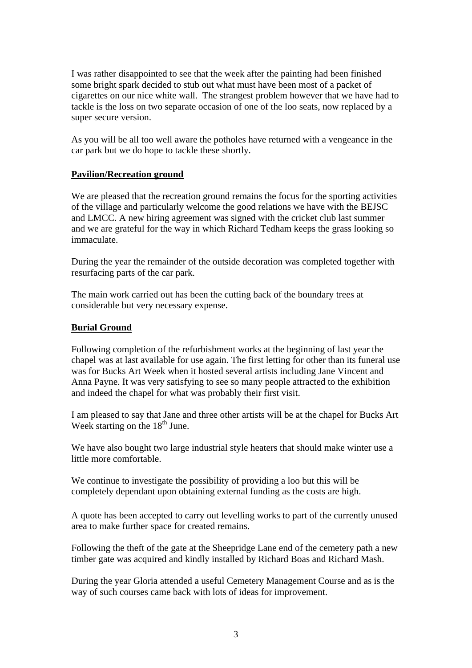I was rather disappointed to see that the week after the painting had been finished some bright spark decided to stub out what must have been most of a packet of cigarettes on our nice white wall. The strangest problem however that we have had to tackle is the loss on two separate occasion of one of the loo seats, now replaced by a super secure version.

As you will be all too well aware the potholes have returned with a vengeance in the car park but we do hope to tackle these shortly.

# **Pavilion/Recreation ground**

We are pleased that the recreation ground remains the focus for the sporting activities of the village and particularly welcome the good relations we have with the BEJSC and LMCC. A new hiring agreement was signed with the cricket club last summer and we are grateful for the way in which Richard Tedham keeps the grass looking so immaculate.

During the year the remainder of the outside decoration was completed together with resurfacing parts of the car park.

The main work carried out has been the cutting back of the boundary trees at considerable but very necessary expense.

# **Burial Ground**

Following completion of the refurbishment works at the beginning of last year the chapel was at last available for use again. The first letting for other than its funeral use was for Bucks Art Week when it hosted several artists including Jane Vincent and Anna Payne. It was very satisfying to see so many people attracted to the exhibition and indeed the chapel for what was probably their first visit.

I am pleased to say that Jane and three other artists will be at the chapel for Bucks Art Week starting on the  $18<sup>th</sup>$  June.

We have also bought two large industrial style heaters that should make winter use a little more comfortable.

We continue to investigate the possibility of providing a loo but this will be completely dependant upon obtaining external funding as the costs are high.

A quote has been accepted to carry out levelling works to part of the currently unused area to make further space for created remains.

Following the theft of the gate at the Sheepridge Lane end of the cemetery path a new timber gate was acquired and kindly installed by Richard Boas and Richard Mash.

During the year Gloria attended a useful Cemetery Management Course and as is the way of such courses came back with lots of ideas for improvement.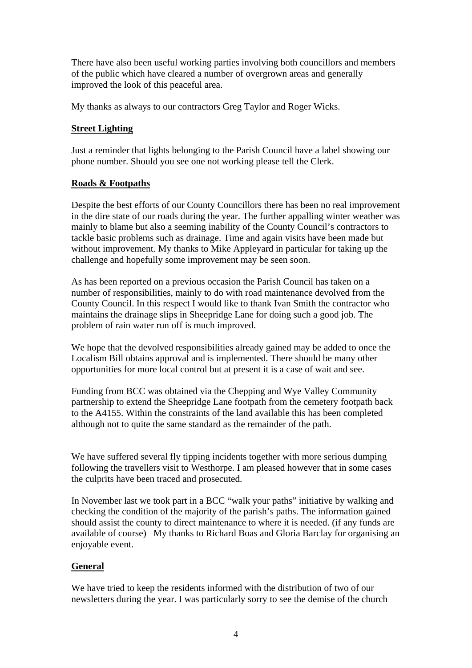There have also been useful working parties involving both councillors and members of the public which have cleared a number of overgrown areas and generally improved the look of this peaceful area.

My thanks as always to our contractors Greg Taylor and Roger Wicks.

# **Street Lighting**

Just a reminder that lights belonging to the Parish Council have a label showing our phone number. Should you see one not working please tell the Clerk.

# **Roads & Footpaths**

Despite the best efforts of our County Councillors there has been no real improvement in the dire state of our roads during the year. The further appalling winter weather was mainly to blame but also a seeming inability of the County Council's contractors to tackle basic problems such as drainage. Time and again visits have been made but without improvement. My thanks to Mike Appleyard in particular for taking up the challenge and hopefully some improvement may be seen soon.

As has been reported on a previous occasion the Parish Council has taken on a number of responsibilities, mainly to do with road maintenance devolved from the County Council. In this respect I would like to thank Ivan Smith the contractor who maintains the drainage slips in Sheepridge Lane for doing such a good job. The problem of rain water run off is much improved.

We hope that the devolved responsibilities already gained may be added to once the Localism Bill obtains approval and is implemented. There should be many other opportunities for more local control but at present it is a case of wait and see.

Funding from BCC was obtained via the Chepping and Wye Valley Community partnership to extend the Sheepridge Lane footpath from the cemetery footpath back to the A4155. Within the constraints of the land available this has been completed although not to quite the same standard as the remainder of the path.

We have suffered several fly tipping incidents together with more serious dumping following the travellers visit to Westhorpe. I am pleased however that in some cases the culprits have been traced and prosecuted.

In November last we took part in a BCC "walk your paths" initiative by walking and checking the condition of the majority of the parish's paths. The information gained should assist the county to direct maintenance to where it is needed. (if any funds are available of course) My thanks to Richard Boas and Gloria Barclay for organising an enjoyable event.

# **General**

We have tried to keep the residents informed with the distribution of two of our newsletters during the year. I was particularly sorry to see the demise of the church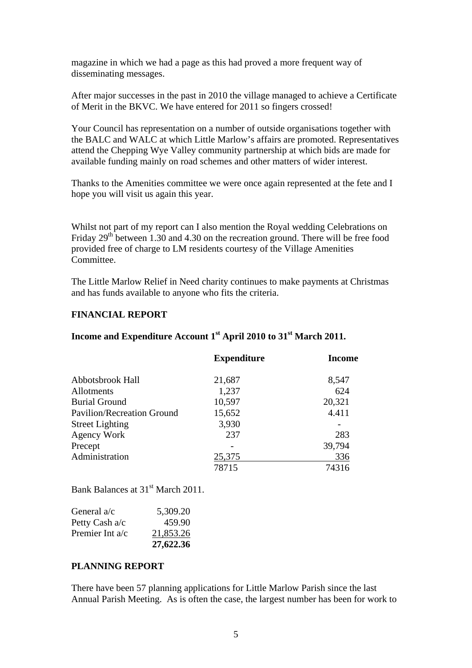magazine in which we had a page as this had proved a more frequent way of disseminating messages.

After major successes in the past in 2010 the village managed to achieve a Certificate of Merit in the BKVC. We have entered for 2011 so fingers crossed!

Your Council has representation on a number of outside organisations together with the BALC and WALC at which Little Marlow's affairs are promoted. Representatives attend the Chepping Wye Valley community partnership at which bids are made for available funding mainly on road schemes and other matters of wider interest.

Thanks to the Amenities committee we were once again represented at the fete and I hope you will visit us again this year.

Whilst not part of my report can I also mention the Royal wedding Celebrations on Friday 29th between 1.30 and 4.30 on the recreation ground. There will be free food provided free of charge to LM residents courtesy of the Village Amenities Committee.

The Little Marlow Relief in Need charity continues to make payments at Christmas and has funds available to anyone who fits the criteria.

# **FINANCIAL REPORT**

|                                   | <b>Expenditure</b> | <b>Income</b> |
|-----------------------------------|--------------------|---------------|
| Abbotsbrook Hall                  | 21,687             | 8,547         |
| Allotments                        | 1,237              | 624           |
| <b>Burial Ground</b>              | 10,597             | 20,321        |
| <b>Pavilion/Recreation Ground</b> | 15,652             | 4.411         |
| <b>Street Lighting</b>            | 3,930              |               |
| <b>Agency Work</b>                | 237                | 283           |
| Precept                           |                    | 39,794        |
| Administration                    | 25,375             | 336           |
|                                   | 78715              | 74316         |

# **Income and Expenditure Account 1st April 2010 to 31st March 2011.**

Bank Balances at 31<sup>st</sup> March 2011.

| General a/c       | 5,309.20  |
|-------------------|-----------|
| Petty Cash a/c    | 459.90    |
| Premier Int $a/c$ | 21,853.26 |
|                   | 27,622.36 |

#### **PLANNING REPORT**

There have been 57 planning applications for Little Marlow Parish since the last Annual Parish Meeting. As is often the case, the largest number has been for work to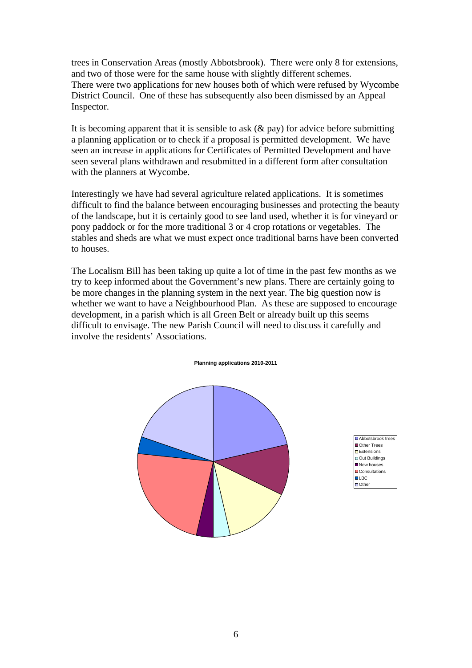trees in Conservation Areas (mostly Abbotsbrook). There were only 8 for extensions, and two of those were for the same house with slightly different schemes. There were two applications for new houses both of which were refused by Wycombe District Council. One of these has subsequently also been dismissed by an Appeal Inspector.

It is becoming apparent that it is sensible to ask  $(\&$  pay) for advice before submitting a planning application or to check if a proposal is permitted development. We have seen an increase in applications for Certificates of Permitted Development and have seen several plans withdrawn and resubmitted in a different form after consultation with the planners at Wycombe.

Interestingly we have had several agriculture related applications. It is sometimes difficult to find the balance between encouraging businesses and protecting the beauty of the landscape, but it is certainly good to see land used, whether it is for vineyard or pony paddock or for the more traditional 3 or 4 crop rotations or vegetables. The stables and sheds are what we must expect once traditional barns have been converted to houses.

The Localism Bill has been taking up quite a lot of time in the past few months as we try to keep informed about the Government's new plans. There are certainly going to be more changes in the planning system in the next year. The big question now is whether we want to have a Neighbourhood Plan. As these are supposed to encourage development, in a parish which is all Green Belt or already built up this seems difficult to envisage. The new Parish Council will need to discuss it carefully and involve the residents' Associations.

#### **Planning applications 2010-2011**



Abbotsbrook tree Other Trees **Extensions** Out Buildings New houses **DConsultations DIRC D**Other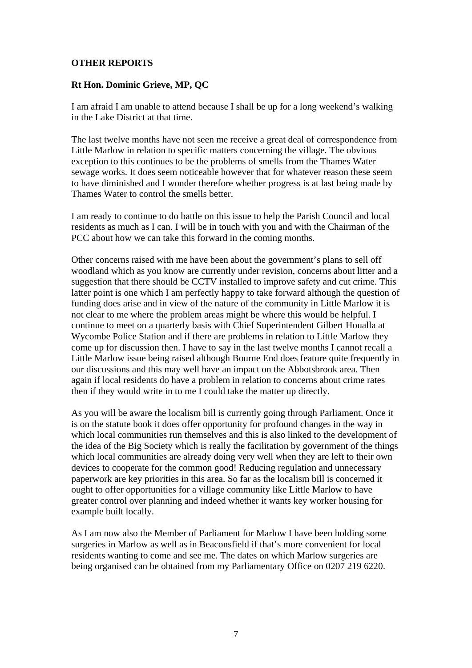# **OTHER REPORTS**

# **Rt Hon. Dominic Grieve, MP, QC**

I am afraid I am unable to attend because I shall be up for a long weekend's walking in the Lake District at that time.

The last twelve months have not seen me receive a great deal of correspondence from Little Marlow in relation to specific matters concerning the village. The obvious exception to this continues to be the problems of smells from the Thames Water sewage works. It does seem noticeable however that for whatever reason these seem to have diminished and I wonder therefore whether progress is at last being made by Thames Water to control the smells better.

I am ready to continue to do battle on this issue to help the Parish Council and local residents as much as I can. I will be in touch with you and with the Chairman of the PCC about how we can take this forward in the coming months.

Other concerns raised with me have been about the government's plans to sell off woodland which as you know are currently under revision, concerns about litter and a suggestion that there should be CCTV installed to improve safety and cut crime. This latter point is one which I am perfectly happy to take forward although the question of funding does arise and in view of the nature of the community in Little Marlow it is not clear to me where the problem areas might be where this would be helpful. I continue to meet on a quarterly basis with Chief Superintendent Gilbert Houalla at Wycombe Police Station and if there are problems in relation to Little Marlow they come up for discussion then. I have to say in the last twelve months I cannot recall a Little Marlow issue being raised although Bourne End does feature quite frequently in our discussions and this may well have an impact on the Abbotsbrook area. Then again if local residents do have a problem in relation to concerns about crime rates then if they would write in to me I could take the matter up directly.

As you will be aware the localism bill is currently going through Parliament. Once it is on the statute book it does offer opportunity for profound changes in the way in which local communities run themselves and this is also linked to the development of the idea of the Big Society which is really the facilitation by government of the things which local communities are already doing very well when they are left to their own devices to cooperate for the common good! Reducing regulation and unnecessary paperwork are key priorities in this area. So far as the localism bill is concerned it ought to offer opportunities for a village community like Little Marlow to have greater control over planning and indeed whether it wants key worker housing for example built locally.

As I am now also the Member of Parliament for Marlow I have been holding some surgeries in Marlow as well as in Beaconsfield if that's more convenient for local residents wanting to come and see me. The dates on which Marlow surgeries are being organised can be obtained from my Parliamentary Office on 0207 219 6220.